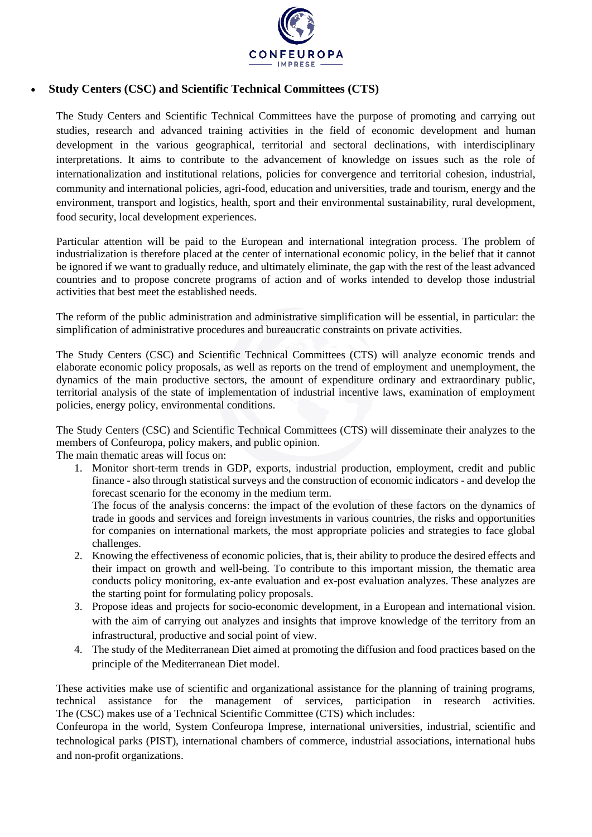

## • **Study Centers (CSC) and Scientific Technical Committees (CTS)**

The Study Centers and Scientific Technical Committees have the purpose of promoting and carrying out studies, research and advanced training activities in the field of economic development and human development in the various geographical, territorial and sectoral declinations, with interdisciplinary interpretations. It aims to contribute to the advancement of knowledge on issues such as the role of internationalization and institutional relations, policies for convergence and territorial cohesion, industrial, community and international policies, agri-food, education and universities, trade and tourism, energy and the environment, transport and logistics, health, sport and their environmental sustainability, rural development, food security, local development experiences.

Particular attention will be paid to the European and international integration process. The problem of industrialization is therefore placed at the center of international economic policy, in the belief that it cannot be ignored if we want to gradually reduce, and ultimately eliminate, the gap with the rest of the least advanced countries and to propose concrete programs of action and of works intended to develop those industrial activities that best meet the established needs.

The reform of the public administration and administrative simplification will be essential, in particular: the simplification of administrative procedures and bureaucratic constraints on private activities.

The Study Centers (CSC) and Scientific Technical Committees (CTS) will analyze economic trends and elaborate economic policy proposals, as well as reports on the trend of employment and unemployment, the dynamics of the main productive sectors, the amount of expenditure ordinary and extraordinary public, territorial analysis of the state of implementation of industrial incentive laws, examination of employment policies, energy policy, environmental conditions.

The Study Centers (CSC) and Scientific Technical Committees (CTS) will disseminate their analyzes to the members of Confeuropa, policy makers, and public opinion.

The main thematic areas will focus on:

1. Monitor short-term trends in GDP, exports, industrial production, employment, credit and public finance - also through statistical surveys and the construction of economic indicators - and develop the forecast scenario for the economy in the medium term.

The focus of the analysis concerns: the impact of the evolution of these factors on the dynamics of trade in goods and services and foreign investments in various countries, the risks and opportunities for companies on international markets, the most appropriate policies and strategies to face global challenges.

- 2. Knowing the effectiveness of economic policies, that is, their ability to produce the desired effects and their impact on growth and well-being. To contribute to this important mission, the thematic area conducts policy monitoring, ex-ante evaluation and ex-post evaluation analyzes. These analyzes are the starting point for formulating policy proposals.
- 3. Propose ideas and projects for socio-economic development, in a European and international vision. with the aim of carrying out analyzes and insights that improve knowledge of the territory from an infrastructural, productive and social point of view.
- 4. The study of the Mediterranean Diet aimed at promoting the diffusion and food practices based on the principle of the Mediterranean Diet model.

These activities make use of scientific and organizational assistance for the planning of training programs, technical assistance for the management of services, participation in research activities. The (CSC) makes use of a Technical Scientific Committee (CTS) which includes:

Confeuropa in the world, System Confeuropa Imprese, international universities, industrial, scientific and technological parks (PIST), international chambers of commerce, industrial associations, international hubs and non-profit organizations.